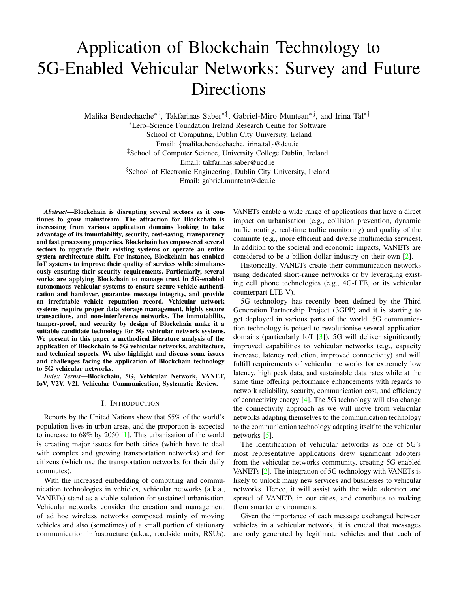# Application of Blockchain Technology to 5G-Enabled Vehicular Networks: Survey and Future Directions

Malika Bendechache∗†, Takfarinas Saber∗‡, Gabriel-Miro Muntean∗§, and Irina Tal∗†

<sup>∗</sup>Lero–Science Foundation Ireland Research Centre for Software †School of Computing, Dublin City University, Ireland Email: {malika.bendechache, irina.tal}@dcu.ie ‡School of Computer Science, University College Dublin, Ireland Email: takfarinas.saber@ucd.ie §School of Electronic Engineering, Dublin City University, Ireland Email: gabriel.muntean@dcu.ie

*Abstract*—Blockchain is disrupting several sectors as it continues to grow mainstream. The attraction for Blockchain is increasing from various application domains looking to take advantage of its immutability, security, cost-saving, transparency and fast processing properties. Blockchain has empowered several sectors to upgrade their existing systems or operate an entire system architecture shift. For instance, Blockchain has enabled IoT systems to improve their quality of services while simultaneously ensuring their security requirements. Particularly, several works are applying Blockchain to manage trust in 5G-enabled autonomous vehicular systems to ensure secure vehicle authentication and handover, guarantee message integrity, and provide an irrefutable vehicle reputation record. Vehicular network systems require proper data storage management, highly secure transactions, and non-interference networks. The immutability, tamper-proof, and security by design of Blockchain make it a suitable candidate technology for 5G vehicular network systems. We present in this paper a methodical literature analysis of the application of Blockchain to 5G vehicular networks, architecture, and technical aspects. We also highlight and discuss some issues and challenges facing the application of Blockchain technology to 5G vehicular networks.

*Index Terms*—Blockchain, 5G, Vehicular Network, VANET, IoV, V2V, V2I, Vehicular Communication, Systematic Review.

## I. INTRODUCTION

Reports by the United Nations show that 55% of the world's population lives in urban areas, and the proportion is expected to increase to 68% by 2050 [\[1\]](#page-6-0). This urbanisation of the world is creating major issues for both cities (which have to deal with complex and growing transportation networks) and for citizens (which use the transportation networks for their daily commutes).

With the increased embedding of computing and communication technologies in vehicles, vehicular networks (a.k.a., VANETs) stand as a viable solution for sustained urbanisation. Vehicular networks consider the creation and management of ad hoc wireless networks composed mainly of moving vehicles and also (sometimes) of a small portion of stationary communication infrastructure (a.k.a., roadside units, RSUs). VANETs enable a wide range of applications that have a direct impact on urbanisation (e.g., collision prevention, dynamic traffic routing, real-time traffic monitoring) and quality of the commute (e.g., more efficient and diverse multimedia services). In addition to the societal and economic impacts, VANETs are considered to be a billion-dollar industry on their own [\[2\]](#page-6-1).

Historically, VANETs create their communication networks using dedicated short-range networks or by leveraging existing cell phone technologies (e.g., 4G-LTE, or its vehicular counterpart LTE-V).

5G technology has recently been defined by the Third Generation Partnership Project (3GPP) and it is starting to get deployed in various parts of the world. 5G communication technology is poised to revolutionise several application domains (particularly IoT [\[3\]](#page-6-2)). 5G will deliver significantly improved capabilities to vehicular networks (e.g., capacity increase, latency reduction, improved connectivity) and will fulfill requirements of vehicular networks for extremely low latency, high peak data, and sustainable data rates while at the same time offering performance enhancements with regards to network reliability, security, communication cost, and efficiency of connectivity energy [\[4\]](#page-6-3). The 5G technology will also change the connectivity approach as we will move from vehicular networks adapting themselves to the communication technology to the communication technology adapting itself to the vehicular networks [\[5\]](#page-6-4).

The identification of vehicular networks as one of 5G's most representative applications drew significant adopters from the vehicular networks community, creating 5G-enabled VANETs [\[2\]](#page-6-1). The integration of 5G technology with VANETs is likely to unlock many new services and businesses to vehicular networks. Hence, it will assist with the wide adoption and spread of VANETs in our cities, and contribute to making them smarter environments.

Given the importance of each message exchanged between vehicles in a vehicular network, it is crucial that messages are only generated by legitimate vehicles and that each of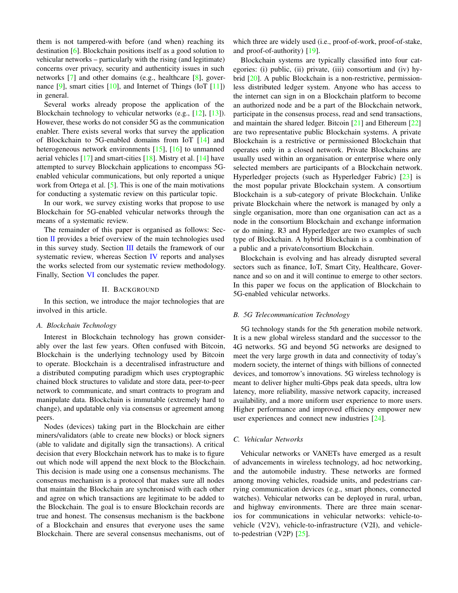them is not tampered-with before (and when) reaching its destination [\[6\]](#page-7-0). Blockchain positions itself as a good solution to vehicular networks – particularly with the rising (and legitimate) concerns over privacy, security and authenticity issues in such networks [\[7\]](#page-7-1) and other domains (e.g., healthcare [\[8\]](#page-7-2), governance  $[9]$ , smart cities  $[10]$ , and Internet of Things (IoT  $[11]$ ) in general.

Several works already propose the application of the Blockchain technology to vehicular networks (e.g., [\[12\]](#page-7-6), [\[13\]](#page-7-7)). However, these works do not consider 5G as the communication enabler. There exists several works that survey the application of Blockchain to 5G-enabled domains from IoT [\[14\]](#page-7-8) and heterogeneous network environments [\[15\]](#page-7-9), [\[16\]](#page-7-10) to unmanned aerial vehicles  $[17]$  and smart-cities  $[18]$ . Mistry et al.  $[14]$  have attempted to survey Blockchain applications to encompass 5Genabled vehicular communications, but only reported a unique work from Ortega et al. [\[5\]](#page-6-4). This is one of the main motivations for conducting a systematic review on this particular topic.

In our work, we survey existing works that propose to use Blockchain for 5G-enabled vehicular networks through the means of a systematic review.

The remainder of this paper is organised as follows: Section  $II$  provides a brief overview of the main technologies used in this survey study. Section [III](#page-2-0) details the framework of our systematic review, whereas Section [IV](#page-3-0) reports and analyses the works selected from our systematic review methodology. Finally, Section [VI](#page-6-5) concludes the paper.

#### II. BACKGROUND

<span id="page-1-0"></span>In this section, we introduce the major technologies that are involved in this article.

#### *A. Blockchain Technology*

Interest in Blockchain technology has grown considerably over the last few years. Often confused with Bitcoin, Blockchain is the underlying technology used by Bitcoin to operate. Blockchain is a decentralised infrastructure and a distributed computing paradigm which uses cryptographic chained block structures to validate and store data, peer-to-peer network to communicate, and smart contracts to program and manipulate data. Blockchain is immutable (extremely hard to change), and updatable only via consensus or agreement among peers.

Nodes (devices) taking part in the Blockchain are either miners/validators (able to create new blocks) or block signers (able to validate and digitally sign the transactions). A critical decision that every Blockchain network has to make is to figure out which node will append the next block to the Blockchain. This decision is made using one a consensus mechanisms. The consensus mechanism is a protocol that makes sure all nodes that maintain the Blockchain are synchronised with each other and agree on which transactions are legitimate to be added to the Blockchain. The goal is to ensure Blockchain records are true and honest. The consensus mechanism is the backbone of a Blockchain and ensures that everyone uses the same Blockchain. There are several consensus mechanisms, out of

which three are widely used (i.e., proof-of-work, proof-of-stake, and proof-of-authority) [\[19\]](#page-7-13).

Blockchain systems are typically classified into four categories: (i) public, (ii) private, (iii) consortium and (iv) hybrid [\[20\]](#page-7-14). A public Blockchain is a non-restrictive, permissionless distributed ledger system. Anyone who has access to the internet can sign in on a Blockchain platform to become an authorized node and be a part of the Blockchain network, participate in the consensus process, read and send transactions, and maintain the shared ledger. Bitcoin [\[21\]](#page-7-15) and Ethereum [\[22\]](#page-7-16) are two representative public Blockchain systems. A private Blockchain is a restrictive or permissioned Blockchain that operates only in a closed network. Private Blockchains are usually used within an organisation or enterprise where only selected members are participants of a Blockchain network. Hyperledger projects (such as Hyperledger Fabric) [\[23\]](#page-7-17) is the most popular private Blockchain system. A consortium Blockchain is a sub-category of private Blockchain. Unlike private Blockchain where the network is managed by only a single organisation, more than one organisation can act as a node in the consortium Blockchain and exchange information or do mining. R3 and Hyperledger are two examples of such type of Blockchain. A hybrid Blockchain is a combination of a public and a private/consortium Blockchain.

Blockchain is evolving and has already disrupted several sectors such as finance, IoT, Smart City, Healthcare, Governance and so on and it will continue to emerge to other sectors. In this paper we focus on the application of Blockchain to 5G-enabled vehicular networks.

# *B. 5G Telecommunication Technology*

5G technology stands for the 5th generation mobile network. It is a new global wireless standard and the successor to the 4G networks. 5G and beyond 5G networks are designed to meet the very large growth in data and connectivity of today's modern society, the internet of things with billions of connected devices, and tomorrow's innovations. 5G wireless technology is meant to deliver higher multi-Gbps peak data speeds, ultra low latency, more reliability, massive network capacity, increased availability, and a more uniform user experience to more users. Higher performance and improved efficiency empower new user experiences and connect new industries [\[24\]](#page-7-18).

# *C. Vehicular Networks*

Vehicular networks or VANETs have emerged as a result of advancements in wireless technology, ad hoc networking, and the automobile industry. These networks are formed among moving vehicles, roadside units, and pedestrians carrying communication devices (e.g., smart phones, connected watches). Vehicular networks can be deployed in rural, urban, and highway environments. There are three main scenarios for communications in vehicular networks: vehicle-tovehicle (V2V), vehicle-to-infrastructure (V2I), and vehicleto-pedestrian (V2P) [\[25\]](#page-7-19).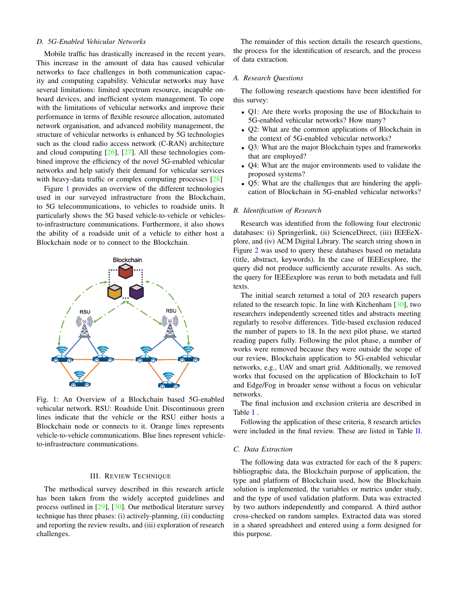## *D. 5G-Enabled Vehicular Networks*

Mobile traffic has drastically increased in the recent years. This increase in the amount of data has caused vehicular networks to face challenges in both communication capacity and computing capability. Vehicular networks may have several limitations: limited spectrum resource, incapable onboard devices, and inefficient system management. To cope with the limitations of vehicular networks and improve their performance in terms of flexible resource allocation, automated network organisation, and advanced mobility management, the structure of vehicular networks is enhanced by 5G technologies such as the cloud radio access network (C-RAN) architecture and cloud computing [\[26\]](#page-7-20), [\[27\]](#page-7-21). All these technologies combined improve the efficiency of the novel 5G-enabled vehicular networks and help satisfy their demand for vehicular services with heavy-data traffic or complex computing processes [\[28\]](#page-7-22)

Figure [1](#page-2-1) provides an overview of the different technologies used in our surveyed infrastructure from the Blockchain, to 5G telecommunications, to vehicles to roadside units. It particularly shows the 5G based vehicle-to-vehicle or vehiclesto-infrastructure communications. Furthermore, it also shows the ability of a roadside unit of a vehicle to either host a Blockchain node or to connect to the Blockchain.

<span id="page-2-1"></span>

Fig. 1: An Overview of a Blockchain based 5G-enabled vehicular network. RSU: Roadside Unit. Discontinuous green lines indicate that the vehicle or the RSU either hosts a Blockchain node or connects to it. Orange lines represents vehicle-to-vehicle communications. Blue lines represent vehicleto-infrastructure communications.

#### III. REVIEW TECHNIQUE

<span id="page-2-0"></span>The methodical survey described in this research article has been taken from the widely accepted guidelines and process outlined in [\[29\]](#page-7-23), [\[30\]](#page-7-24). Our methodical literature survey technique has three phases: (i) actively-planning, (ii) conducting and reporting the review results, and (iii) exploration of research challenges.

The remainder of this section details the research questions, the process for the identification of research, and the process of data extraction.

# *A. Research Questions*

The following research questions have been identified for this survey:

- Q1: Are there works proposing the use of Blockchain to 5G-enabled vehicular networks? How many?
- Q2: What are the common applications of Blockchain in the context of 5G-enabled vehicular networks?
- Q3: What are the major Blockchain types and frameworks that are employed?
- Q4: What are the major environments used to validate the proposed systems?
- Q5: What are the challenges that are hindering the application of Blockchain in 5G-enabled vehicular networks?

## *B. Identification of Research*

Research was identified from the following four electronic databases: (i) Springerlink, (ii) ScienceDirect, (iii) IEEEeXplore, and (iv) ACM Digital Library. The search string shown in Figure [2](#page-3-1) was used to query these databases based on metadata (title, abstract, keywords). In the case of IEEEexplore, the query did not produce sufficiently accurate results. As such, the query for IEEEexplore was rerun to both metadata and full texts.

The initial search returned a total of 203 research papers related to the research topic. In line with Kitchenham [\[30\]](#page-7-24), two researchers independently screened titles and abstracts meeting regularly to resolve differences. Title-based exclusion reduced the number of papers to 18. In the next pilot phase, we started reading papers fully. Following the pilot phase, a number of works were removed because they were outside the scope of our review, Blockchain application to 5G-enabled vehicular networks, e.g., UAV and smart grid. Additionally, we removed works that focused on the application of Blockchain to IoT and Edge/Fog in broader sense without a focus on vehicular networks.

The final inclusion and exclusion criteria are described in Table [I](#page-3-2) .

Following the application of these criteria, 8 research articles were included in the final review. These are listed in Table [II.](#page-3-3)

# *C. Data Extraction*

The following data was extracted for each of the 8 papers: bibliographic data, the Blockchain purpose of application, the type and platform of Blockchain used, how the Blockchain solution is implemented, the variables or metrics under study, and the type of used validation platform. Data was extracted by two authors independently and compared. A third author cross-checked on random samples. Extracted data was stored in a shared spreadsheet and entered using a form designed for this purpose.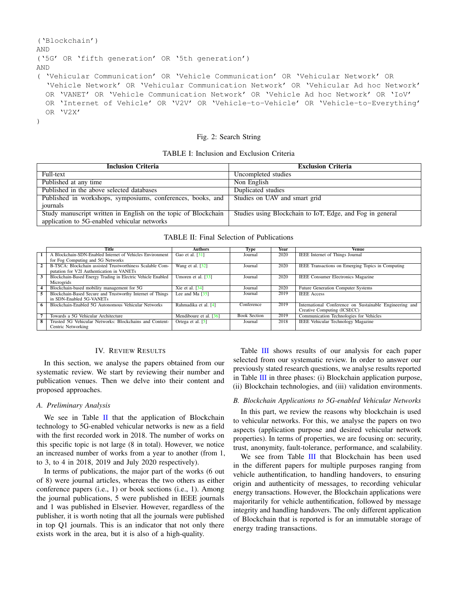```
('Blockchain')
AND
('5G' OR 'fifth generation' OR '5th generation')
AND
( 'Vehicular Communication' OR 'Vehicle Communication' OR 'Vehicular Network' OR
  'Vehicle Network' OR 'Vehicular Communication Network' OR 'Vehicular Ad hoc Network'
  OR 'VANET' OR 'Vehicle Communication Network' OR 'Vehicle Ad hoc Network' OR 'IoV'
  OR 'Internet of Vehicle' OR 'V2V' OR 'Vehicle-to-Vehicle' OR 'Vehicle-to-Everything'
  OR 'V2X'
)
```
# Fig. 2: Search String

| TABLE I: Inclusion and Exclusion Criteria |  |  |  |
|-------------------------------------------|--|--|--|
|-------------------------------------------|--|--|--|

<span id="page-3-2"></span>

| <b>Inclusion Criteria</b>                                      | <b>Exclusion Criteria</b>                                 |
|----------------------------------------------------------------|-----------------------------------------------------------|
| Full-text                                                      | Uncompleted studies                                       |
| Published at any time                                          | Non English                                               |
| Published in the above selected databases                      | Duplicated studies                                        |
| Published in workshops, symposiums, conferences, books, and    | Studies on UAV and smart grid                             |
| journals                                                       |                                                           |
| Study manuscript written in English on the topic of Blockchain | Studies using Blockchain to IoT, Edge, and Fog in general |
| application to 5G-enabled vehicular networks                   |                                                           |

TABLE II: Final Selection of Publications

<span id="page-3-3"></span>

|                | Title                                                       | <b>Authors</b>                  | Type                | Year | Venue                                                   |
|----------------|-------------------------------------------------------------|---------------------------------|---------------------|------|---------------------------------------------------------|
| $\mathbf{1}$   | Blockchain-SDN-Enabled Internet of Vehicles Environment     | Gao et al. [31]                 | Journal             | 2020 | IEEE Internet of Things Journal                         |
|                | for Fog Computing and 5G Networks                           |                                 |                     |      |                                                         |
| $\overline{2}$ | B-TSCA: Blockchain assisted Trustworthiness Scalable Com-   | Wang et al. [32]                | Journal             | 2020 | IEEE Transactions on Emerging Topics in Computing       |
|                | putation for V2I Authentication in VANETs                   |                                 |                     |      |                                                         |
|                | Blockchain-Based Energy Trading in Electric Vehicle Enabled | Umoren et al. $[33]$            | Journal             | 2020 | <b>IEEE Consumer Electronics Magazine</b>               |
|                | Microgrids                                                  |                                 |                     |      |                                                         |
|                | Blockchain-based mobility management for 5G                 | Xie et al. $[34]$               | Journal             | 2020 | Future Generation Computer Systems                      |
|                | Blockchain-Based Secure and Trustworthy Internet of Things  | Lee and Ma [35]                 | Journal             | 2019 | <b>IEEE</b> Access                                      |
|                | in SDN-Enabled 5G-VANETs                                    |                                 |                     |      |                                                         |
|                | Blockchain-Enabled 5G Autonomous Vehicular Networks         | Rahmadika et al. [4]            | Conference          | 2019 | International Conference on Sustainable Engineering and |
|                |                                                             |                                 |                     |      | Creative Computing (ICSECC)                             |
|                | Towards a 5G Vehicular Architecture                         | Mendiboure et al. [36]          | <b>Book Section</b> | 2019 | Communication Technologies for Vehicles                 |
| 8              | Trusted 5G Vehicular Networks: Blockchains and Content-     | Ortega et al. $\lceil 5 \rceil$ | Journal             | 2018 | <b>IEEE Vehicular Technology Magazine</b>               |
|                | Centric Networking                                          |                                 |                     |      |                                                         |

# IV. REVIEW RESULTS

<span id="page-3-0"></span>In this section, we analyse the papers obtained from our systematic review. We start by reviewing their number and publication venues. Then we delve into their content and proposed approaches.

#### *A. Preliminary Analysis*

We see in Table  $II$  that the application of Blockchain technology to 5G-enabled vehicular networks is new as a field with the first recorded work in 2018. The number of works on this specific topic is not large (8 in total). However, we notice an increased number of works from a year to another (from 1, to 3, to 4 in 2018, 2019 and July 2020 respectively).

In terms of publications, the major part of the works (6 out of 8) were journal articles, whereas the two others as either conference papers (i.e., 1) or book sections (i.e., 1). Among the journal publications, 5 were published in IEEE journals and 1 was published in Elsevier. However, regardless of the publisher, it is worth noting that all the journals were published in top Q1 journals. This is an indicator that not only there exists work in the area, but it is also of a high-quality.

Table [III](#page-4-0) shows results of our analysis for each paper selected from our systematic review. In order to answer our previously stated research questions, we analyse results reported in Table [III](#page-4-0) in three phases: (i) Blockchain application purpose, (ii) Blockchain technologies, and (iii) validation environments.

#### *B. Blockchain Applications to 5G-enabled Vehicular Networks*

In this part, we review the reasons why blockchain is used to vehicular networks. For this, we analyse the papers on two aspects (application purpose and desired vehicular network properties). In terms of properties, we are focusing on: security, trust, anonymity, fault-tolerance, performance, and scalability.

We see from Table [III](#page-4-0) that Blockchain has been used in the different papers for multiple purposes ranging from vehicle authentification, to handling handovers, to ensuring origin and authenticity of messages, to recording vehicular energy transactions. However, the Blockchain applications were majoritarily for vehicle authentification, followed by message integrity and handling handovers. The only different application of Blockchain that is reported is for an immutable storage of energy trading transactions.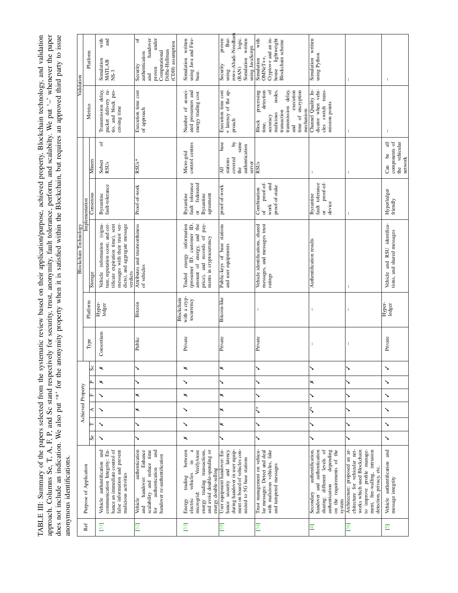<span id="page-4-0"></span>TABLE III: Summary of the papers selected from the systematic review based on their application/purpose, achieved property, Blockchain technology, and validation approach. Columns Se, T, A, F, P, and Sc stand respectively approach. Columns Se, T, A, F, P, and Sc stand respectively for security, trust, anonymity, fault tolerance, perform, and scalabilty. We put '–' whenever the paper TABLE III: Summary of the papers selected from the systematic review based on their application/purpose, achieved property, Blockchain technology, and validation does not include an indication. We also put '\*' for the anonymity property when it is satisfied within the Blockchain, but requires an approved third party to issue anonymous identifications. anonymous identifications.

|                |                                                                                                                                                                                          |    |   |                   |   |                    |   |                |                                          | <b>Blockchain Technology</b>                                                                                                                                                         |                                                                                                         |                                                                                                   | Validation                                                                                                                                                                                     |                                                                                                                              |  |
|----------------|------------------------------------------------------------------------------------------------------------------------------------------------------------------------------------------|----|---|-------------------|---|--------------------|---|----------------|------------------------------------------|--------------------------------------------------------------------------------------------------------------------------------------------------------------------------------------|---------------------------------------------------------------------------------------------------------|---------------------------------------------------------------------------------------------------|------------------------------------------------------------------------------------------------------------------------------------------------------------------------------------------------|------------------------------------------------------------------------------------------------------------------------------|--|
| Ref            | Purpose of Application                                                                                                                                                                   |    |   | Achieved Property |   |                    |   |                | Platform                                 |                                                                                                                                                                                      | Implementation                                                                                          |                                                                                                   |                                                                                                                                                                                                | Platform                                                                                                                     |  |
|                |                                                                                                                                                                                          | Se |   | ⋖                 | 叫 | ρ.,                | ŭ | Type           |                                          | Storage                                                                                                                                                                              | Consensus                                                                                               | Miners                                                                                            | Metrics                                                                                                                                                                                        |                                                                                                                              |  |
| [31]           | communication Integrity: En-<br>hance an immediate control of<br>Vehicle authentification and<br>false information and prevent<br>malicious activities                                   | ↘  | ↘ | ↘                 |   | $\mathord{\times}$ |   | Consortium     | Hyper-<br>ledger                         | ture, reputation score, and cer-<br>information (signa-<br>messages with their trust ver-<br>dicts), and aggregate message<br>tificate expiration time), sent<br>Vehicle<br>verdicts | fault-tolerance<br><b>Byzantine</b>                                                                     | ð<br>Subset<br>RSUs                                                                               | packet delivery ra-<br>Transmission delay,<br>tio, and block pro-<br>cessing time                                                                                                              | with<br>and<br>Simulation<br>MATLAB<br>$NS-3$                                                                                |  |
| 32             | authentication<br>Enhance<br>scalability and reduce time<br>and<br>handover re-authentification<br>authentication<br>handover:<br>Vehicle<br>and<br>for                                  |    | ↘ | ×                 | × |                    |   | Public         | Bitcoin                                  | Attributes and trustworthiness<br>of vehicles                                                                                                                                        | Proof-of-work                                                                                           | $RSUs*$                                                                                           | Execution time cost<br>of approach                                                                                                                                                             | handover<br>under<br>್<br>(CDH) assumption<br>Diffie-Hellman<br>Computational<br>authentication<br>Security<br>proven<br>and |  |
| 33             | trading transactions,<br>Verify/store<br>and avoid double-spending or<br>between<br>.≘<br>energy double-selling<br>vehicles<br>trading<br>microgrid:<br>energy<br>electric<br>Energy     | ×  | ↘ | ↘                 | × | ↘                  | × | Private        | with a cryp-<br>Blockchain<br>tocurrency | (prosumer ID, customer ID,<br>amount of energy, and the<br>price), and records of pay-<br>information<br>ments in cryptocurrency<br>energy<br>Traded                                 | fault tolerance<br>federated<br>Byzantine<br>agreement<br>Byzantine<br>$\sigma$                         | control centres<br>Micro-grid                                                                     | Number of associ-<br>ated prosumers and<br>energy trading cost                                                                                                                                 | using Java and Fire-<br>Simulation written<br>base.                                                                          |  |
| [35]           | User equipment handover: En-<br>ment on board of vehicles con-<br>during handover in user equip-<br>hance security and latency<br>nected to 5G base stations                             |    | × | ×                 | × | ゝ                  | × | Private        | Bitcoin-like                             | Public-keys of base stations<br>and user equipments                                                                                                                                  | proof-of-work                                                                                           | base<br>same<br>$\mathbf{\hat{q}}$<br>authentication<br>covered<br>stations<br>server<br>the<br>₹ | + latency of the ap-<br>Execution time cost<br>$p$ roach                                                                                                                                       | rows-Abadi-Needham<br>Bur-<br>logic.<br>proven<br>Simulation written<br>using JavaScript.<br>Security<br>(BAN)<br>using      |  |
| $\frac{34}{3}$ | Trust management on vehicu-<br>with malicious vehicles, fake<br>lar messages: Detect and deal<br>and tampered messages                                                                   |    | ゝ | ڋ                 |   |                    |   | Private        | $\overline{1}$                           | messages, and messages trust<br>Vehicle identifications, shared<br>ratings                                                                                                           | $\operatorname{proof-of-}$<br>and<br>proof-of-stake<br>Combination<br>$\operatorname{work}$<br>$\sigma$ | RSUs                                                                                              | ð<br>execution<br>processing<br>detection<br>nodes,<br>transmission delay,<br>time of encryption<br>mechanism<br>transaction<br>malicious<br>accuracy<br><b>Block</b><br>time,<br>$rac{d}{dt}$ | with<br>Crypto++ and an in-<br>house lightweight<br>Blockchain scheme<br>Simulation<br>OMNeT++,                              |  |
| 4              | authentification,<br>sharing: different levels of<br>handover and authentication<br>depending<br>on the requirements of the<br>authentication<br>Secondary<br>system                     |    | ↘ | ڋ                 | ↘ | ×                  |   | $\overline{1}$ | $\overline{1}$                           | Authentification results                                                                                                                                                             | proof-of-<br>fault tolerance<br>Byzantine<br>device<br>$\sigma$                                         | $\overline{\phantom{a}}$                                                                          | dicator when vehi-<br>Channel Quality In-<br>cles switch trans-<br>mission points                                                                                                              | Simulation written<br>using Python                                                                                           |  |
| $\frac{36}{3}$ | Architecture: proposed an ar-<br>chitecture for vehicular net-<br>to improve profile manage-<br>works which used Blockchain<br>ment, fire-walling, intrusion<br>detection, privacy, etc. |    |   |                   |   |                    |   |                | $\overline{1}$                           |                                                                                                                                                                                      |                                                                                                         |                                                                                                   | $\mathbf{I}$                                                                                                                                                                                   |                                                                                                                              |  |
| $\overline{6}$ | Vehicle authentification and<br>message integrity                                                                                                                                        | ↘  | ↘ | ↘                 | ↘ | ↘                  | ↘ | Private        | Hyper-<br>ledger                         | Vehicle and RSU identifica-<br>tions, and shared messages                                                                                                                            | Hyperledger<br>friendly                                                                                 | components of<br>vehicular<br>금<br>ತಿ<br>network<br>Can<br>the                                    | $\mathbf{I}$                                                                                                                                                                                   |                                                                                                                              |  |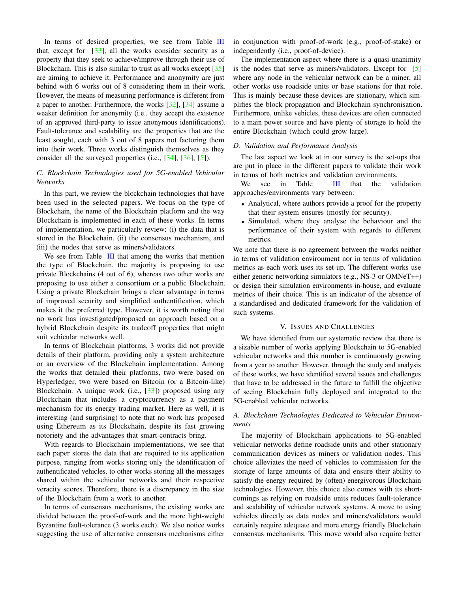In terms of desired properties, we see from Table [III](#page-4-0) that, except for  $[33]$ , all the works consider security as a property that they seek to achieve/improve through their use of Blockchain. This is also similar to trust as all works except [\[35\]](#page-7-29) are aiming to achieve it. Performance and anonymity are just behind with 6 works out of 8 considering them in their work. However, the means of measuring performance is different from a paper to another. Furthermore, the works [\[32\]](#page-7-26), [\[34\]](#page-7-28) assume a weaker definition for anonymity (i.e., they accept the existence of an approved third-party to issue anonymous identifications). Fault-tolerance and scalability are the properties that are the least sought, each with 3 out of 8 papers not factoring them into their work. Three works distinguish themselves as they consider all the surveyed properties (i.e., [\[34\]](#page-7-28), [\[36\]](#page-7-30), [\[5\]](#page-6-4)).

# *C. Blockchain Technologies used for 5G-enabled Vehicular Networks*

In this part, we review the blockchain technologies that have been used in the selected papers. We focus on the type of Blockchain, the name of the Blockchain platform and the way Blockchain is implemented in each of these works. In terms of implementation, we particularly review: (i) the data that is stored in the Blockchain, (ii) the consensus mechanism, and (iii) the nodes that serve as miners/validators.

We see from Table [III](#page-4-0) that among the works that mention the type of Blockchain, the majority is proposing to use private Blockchains (4 out of 6), whereas two other works are proposing to use either a consortium or a public Blockchain. Using a private Blockchain brings a clear advantage in terms of improved security and simplified authentification, which makes it the preferred type. However, it is worth noting that no work has investigated/proposed an approach based on a hybrid Blockchain despite its tradeoff properties that might suit vehicular networks well.

In terms of Blockchain platforms, 3 works did not provide details of their platform, providing only a system architecture or an overview of the Blockchain implementation. Among the works that detailed their platforms, two were based on Hyperledger, two were based on Bitcoin (or a Bitcoin-like) Blockchain. A unique work (i.e., [\[33\]](#page-7-27)) proposed using any Blockchain that includes a cryptocurrency as a payment mechanism for its energy trading market. Here as well, it is interesting (and surprising) to note that no work has proposed using Ethereum as its Blockchain, despite its fast growing notoriety and the advantages that smart-contracts bring.

With regards to Blockchain implementations, we see that each paper stores the data that are required to its application purpose, ranging from works storing only the identification of authentificated vehicles, to other works storing all the messages shared within the vehicular networks and their respective veracity scores. Therefore, there is a discrepancy in the size of the Blockchain from a work to another.

In terms of consensus mechanisms, the existing works are divided between the proof-of-work and the more light-weight Byzantine fault-tolerance (3 works each). We also notice works suggesting the use of alternative consensus mechanisms either

in conjunction with proof-of-work (e.g., proof-of-stake) or independently (i.e., proof-of-device).

The implementation aspect where there is a quasi-unanimity is the nodes that serve as miners/validators. Except for [\[5\]](#page-6-4) where any node in the vehicular network can be a miner, all other works use roadside units or base stations for that role. This is mainly because these devices are stationary, which simplifies the block propagation and Blockchain synchronisation. Furthermore, unlike vehicles, these devices are often connected to a main power source and have plenty of storage to hold the entire Blockchain (which could grow large).

#### *D. Validation and Performance Analysis*

The last aspect we look at in our survey is the set-ups that are put in place in the different papers to validate their work in terms of both metrics and validation environments.

We see in Table [III](#page-4-0) that the validation approaches/environments vary between:

- Analytical, where authors provide a proof for the property that their system ensures (mostly for security).
- Simulated, where they analyse the behaviour and the performance of their system with regards to different metrics.

We note that there is no agreement between the works neither in terms of validation environment nor in terms of validation metrics as each work uses its set-up. The different works use either generic networking simulators (e.g., NS-3 or OMNeT++) or design their simulation environments in-house, and evaluate metrics of their choice. This is an indicator of the absence of a standardised and dedicated framework for the validation of such systems.

### V. ISSUES AND CHALLENGES

We have identified from our systematic review that there is a sizable number of works applying Blockchain to 5G-enabled vehicular networks and this number is continuously growing from a year to another. However, through the study and analysis of these works, we have identified several issues and challenges that have to be addressed in the future to fulfill the objective of seeing Blockchain fully deployed and integrated to the 5G-enabled vehicular networks.

# *A. Blockchain Technologies Dedicated to Vehicular Environments*

The majority of Blockchain applications to 5G-enabled vehicular networks define roadside units and other stationary communication devices as miners or validation nodes. This choice alleviates the need of vehicles to commission for the storage of large amounts of data and ensure their ability to satisfy the energy required by (often) energivorous Blockchain technologies. However, this choice also comes with its shortcomings as relying on roadside units reduces fault-tolerance and scalability of vehicular network systems. A move to using vehicles directly as data nodes and miners/validators would certainly require adequate and more energy friendly Blockchain consensus mechanisms. This move would also require better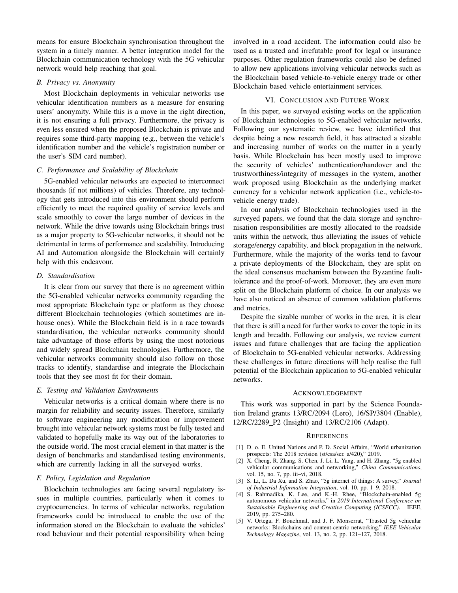means for ensure Blockchain synchronisation throughout the system in a timely manner. A better integration model for the Blockchain communication technology with the 5G vehicular network would help reaching that goal.

## *B. Privacy vs. Anonymity*

Most Blockchain deployments in vehicular networks use vehicular identification numbers as a measure for ensuring users' anonymity. While this is a move in the right direction, it is not ensuring a full privacy. Furthermore, the privacy is even less ensured when the proposed Blockchain is private and requires some third-party mapping (e.g., between the vehicle's identification number and the vehicle's registration number or the user's SIM card number).

## *C. Performance and Scalability of Blockchain*

5G-enabled vehicular networks are expected to interconnect thousands (if not millions) of vehicles. Therefore, any technology that gets introduced into this environment should perform efficiently to meet the required quality of service levels and scale smoothly to cover the large number of devices in the network. While the drive towards using Blockchain brings trust as a major property to 5G-vehicular networks, it should not be detrimental in terms of performance and scalability. Introducing AI and Automation alongside the Blockchain will certainly help with this endeavour.

## *D. Standardisation*

It is clear from our survey that there is no agreement within the 5G-enabled vehicular networks community regarding the most appropriate Blockchain type or platform as they choose different Blockchain technologies (which sometimes are inhouse ones). While the Blockchain field is in a race towards standardisation, the vehicular networks community should take advantage of those efforts by using the most notorious and widely spread Blockchain technologies. Furthermore, the vehicular networks community should also follow on those tracks to identify, standardise and integrate the Blockchain tools that they see most fit for their domain.

# *E. Testing and Validation Environments*

Vehicular networks is a critical domain where there is no margin for reliability and security issues. Therefore, similarly to software engineering any modification or improvement brought into vehicular network systems must be fully tested and validated to hopefully make its way out of the laboratories to the outside world. The most crucial element in that matter is the design of benchmarks and standardised testing environments, which are currently lacking in all the surveyed works.

# *F. Policy, Legislation and Regulation*

Blockchain technologies are facing several regulatory issues in multiple countries, particularly when it comes to cryptocurrencies. In terms of vehicular networks, regulation frameworks could be introduced to enable the use of the information stored on the Blockchain to evaluate the vehicles' road behaviour and their potential responsibility when being

involved in a road accident. The information could also be used as a trusted and irrefutable proof for legal or insurance purposes. Other regulation frameworks could also be defined to allow new applications involving vehicular networks such as the Blockchain based vehicle-to-vehicle energy trade or other Blockchain based vehicle entertainment services.

## VI. CONCLUSION AND FUTURE WORK

<span id="page-6-5"></span>In this paper, we surveyed existing works on the application of Blockchain technologies to 5G-enabled vehicular networks. Following our systematic review, we have identified that despite being a new research field, it has attracted a sizable and increasing number of works on the matter in a yearly basis. While Blockchain has been mostly used to improve the security of vehicles' authentication/handover and the trustworthiness/integrity of messages in the system, another work proposed using Blockchain as the underlying market currency for a vehicular network application (i.e., vehicle-tovehicle energy trade).

In our analysis of Blockchain technologies used in the surveyed papers, we found that the data storage and synchronisation responsibilities are mostly allocated to the roadside units within the network, thus alleviating the issues of vehicle storage/energy capability, and block propagation in the network. Furthermore, while the majority of the works tend to favour a private deployments of the Blockchain, they are split on the ideal consensus mechanism between the Byzantine faulttolerance and the proof-of-work. Moreover, they are even more split on the Blockchain platform of choice. In our analysis we have also noticed an absence of common validation platforms and metrics.

Despite the sizable number of works in the area, it is clear that there is still a need for further works to cover the topic in its length and breadth. Following our analysis, we review current issues and future challenges that are facing the application of Blockchain to 5G-enabled vehicular networks. Addressing these challenges in future directions will help realise the full potential of the Blockchain application to 5G-enabled vehicular networks.

### ACKNOWLEDGEMENT

This work was supported in part by the Science Foundation Ireland grants 13/RC/2094 (Lero), 16/SP/3804 (Enable), 12/RC/2289 P2 (Insight) and 13/RC/2106 (Adapt).

#### **REFERENCES**

- <span id="page-6-0"></span>[1] D. o. E. United Nations and P. D. Social Affairs, "World urbanization prospects: The 2018 revision (st/esa/ser. a/420)," 2019.
- <span id="page-6-1"></span>[2] X. Cheng, R. Zhang, S. Chen, J. Li, L. Yang, and H. Zhang, "5g enabled vehicular communications and networking," *China Communications*, vol. 15, no. 7, pp. iii–vi, 2018.
- <span id="page-6-2"></span>[3] S. Li, L. Da Xu, and S. Zhao, "5g internet of things: A survey," *Journal of Industrial Information Integration*, vol. 10, pp. 1–9, 2018.
- <span id="page-6-3"></span>[4] S. Rahmadika, K. Lee, and K.-H. Rhee, "Blockchain-enabled 5g autonomous vehicular networks," in *2019 International Conference on Sustainable Engineering and Creative Computing (ICSECC)*. IEEE, 2019, pp. 275–280.
- <span id="page-6-4"></span>[5] V. Ortega, F. Bouchmal, and J. F. Monserrat, "Trusted 5g vehicular networks: Blockchains and content-centric networking," *IEEE Vehicular Technology Magazine*, vol. 13, no. 2, pp. 121–127, 2018.